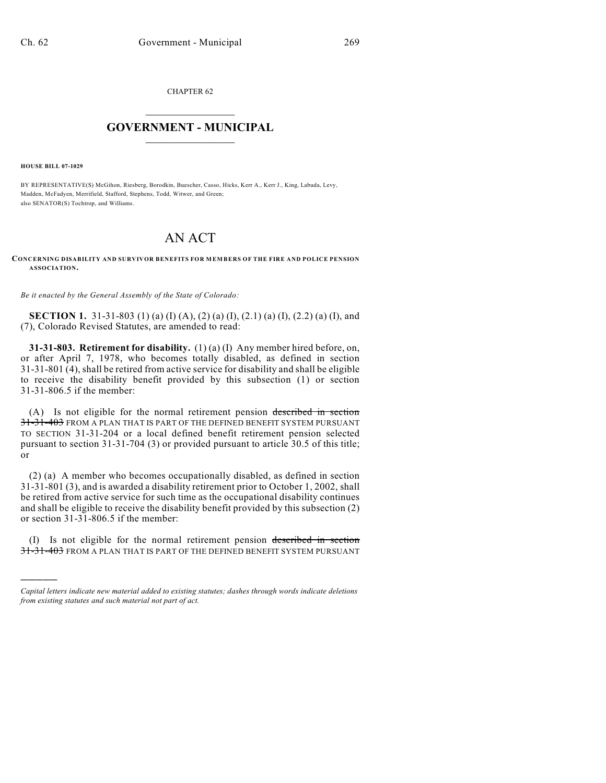CHAPTER 62  $\mathcal{L}_\text{max}$  . The set of the set of the set of the set of the set of the set of the set of the set of the set of the set of the set of the set of the set of the set of the set of the set of the set of the set of the set

## **GOVERNMENT - MUNICIPAL**  $\_$

**HOUSE BILL 07-1029**

)))))

BY REPRESENTATIVE(S) McGihon, Riesberg, Borodkin, Buescher, Casso, Hicks, Kerr A., Kerr J., King, Labuda, Levy, Madden, McFadyen, Merrifield, Stafford, Stephens, Todd, Witwer, and Green; also SENATOR(S) Tochtrop, and Williams.

## AN ACT

## **CONCERNING DISABILITY AND SURVIVOR BENEFITS FOR MEMBERS OF THE FIRE AND POLICE PENSION ASSOCIATION.**

*Be it enacted by the General Assembly of the State of Colorado:*

**SECTION 1.** 31-31-803 (1) (a) (I) (A), (2) (a) (I), (2.1) (a) (I), (2.2) (a) (I), and (7), Colorado Revised Statutes, are amended to read:

**31-31-803. Retirement for disability.** (1) (a) (I) Any member hired before, on, or after April 7, 1978, who becomes totally disabled, as defined in section 31-31-801 (4), shall be retired from active service for disability and shall be eligible to receive the disability benefit provided by this subsection (1) or section 31-31-806.5 if the member:

(A) Is not eligible for the normal retirement pension described in section 31-31-403 FROM A PLAN THAT IS PART OF THE DEFINED BENEFIT SYSTEM PURSUANT TO SECTION 31-31-204 or a local defined benefit retirement pension selected pursuant to section 31-31-704 (3) or provided pursuant to article 30.5 of this title; or

(2) (a) A member who becomes occupationally disabled, as defined in section 31-31-801 (3), and is awarded a disability retirement prior to October 1, 2002, shall be retired from active service for such time as the occupational disability continues and shall be eligible to receive the disability benefit provided by this subsection (2) or section 31-31-806.5 if the member:

(I) Is not eligible for the normal retirement pension described in section 31-31-403 FROM A PLAN THAT IS PART OF THE DEFINED BENEFIT SYSTEM PURSUANT

*Capital letters indicate new material added to existing statutes; dashes through words indicate deletions from existing statutes and such material not part of act.*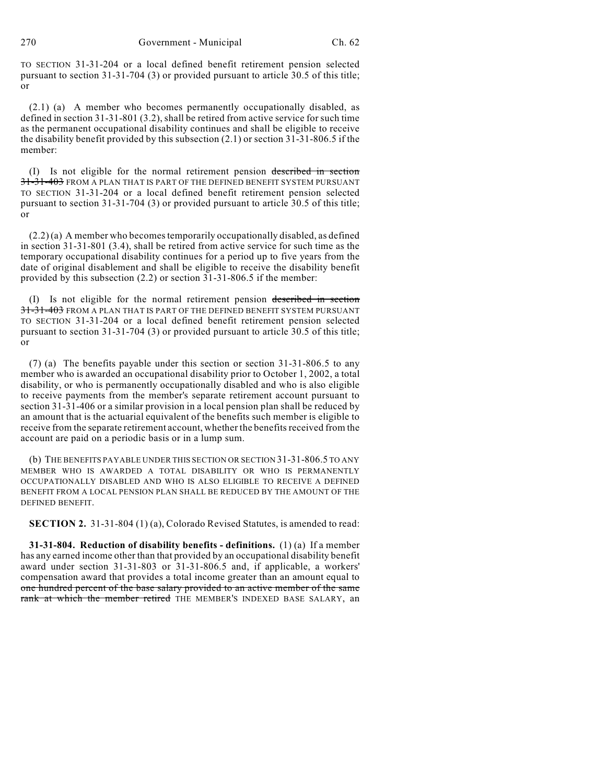TO SECTION 31-31-204 or a local defined benefit retirement pension selected pursuant to section 31-31-704 (3) or provided pursuant to article 30.5 of this title; or

(2.1) (a) A member who becomes permanently occupationally disabled, as defined in section 31-31-801 (3.2), shall be retired from active service for such time as the permanent occupational disability continues and shall be eligible to receive the disability benefit provided by this subsection (2.1) or section 31-31-806.5 if the member:

(I) Is not eligible for the normal retirement pension described in section 31-31-403 FROM A PLAN THAT IS PART OF THE DEFINED BENEFIT SYSTEM PURSUANT TO SECTION 31-31-204 or a local defined benefit retirement pension selected pursuant to section 31-31-704 (3) or provided pursuant to article 30.5 of this title; or

(2.2) (a) A member who becomes temporarily occupationally disabled, as defined in section 31-31-801 (3.4), shall be retired from active service for such time as the temporary occupational disability continues for a period up to five years from the date of original disablement and shall be eligible to receive the disability benefit provided by this subsection (2.2) or section 31-31-806.5 if the member:

(I) Is not eligible for the normal retirement pension described in section 31-31-403 FROM A PLAN THAT IS PART OF THE DEFINED BENEFIT SYSTEM PURSUANT TO SECTION 31-31-204 or a local defined benefit retirement pension selected pursuant to section 31-31-704 (3) or provided pursuant to article 30.5 of this title; or

(7) (a) The benefits payable under this section or section 31-31-806.5 to any member who is awarded an occupational disability prior to October 1, 2002, a total disability, or who is permanently occupationally disabled and who is also eligible to receive payments from the member's separate retirement account pursuant to section 31-31-406 or a similar provision in a local pension plan shall be reduced by an amount that is the actuarial equivalent of the benefits such member is eligible to receive from the separate retirement account, whether the benefits received from the account are paid on a periodic basis or in a lump sum.

(b) THE BENEFITS PAYABLE UNDER THIS SECTION OR SECTION 31-31-806.5 TO ANY MEMBER WHO IS AWARDED A TOTAL DISABILITY OR WHO IS PERMANENTLY OCCUPATIONALLY DISABLED AND WHO IS ALSO ELIGIBLE TO RECEIVE A DEFINED BENEFIT FROM A LOCAL PENSION PLAN SHALL BE REDUCED BY THE AMOUNT OF THE DEFINED BENEFIT.

**SECTION 2.** 31-31-804 (1) (a), Colorado Revised Statutes, is amended to read:

**31-31-804. Reduction of disability benefits - definitions.** (1) (a) If a member has any earned income other than that provided by an occupational disability benefit award under section 31-31-803 or 31-31-806.5 and, if applicable, a workers' compensation award that provides a total income greater than an amount equal to one hundred percent of the base salary provided to an active member of the same rank at which the member retired THE MEMBER'S INDEXED BASE SALARY, an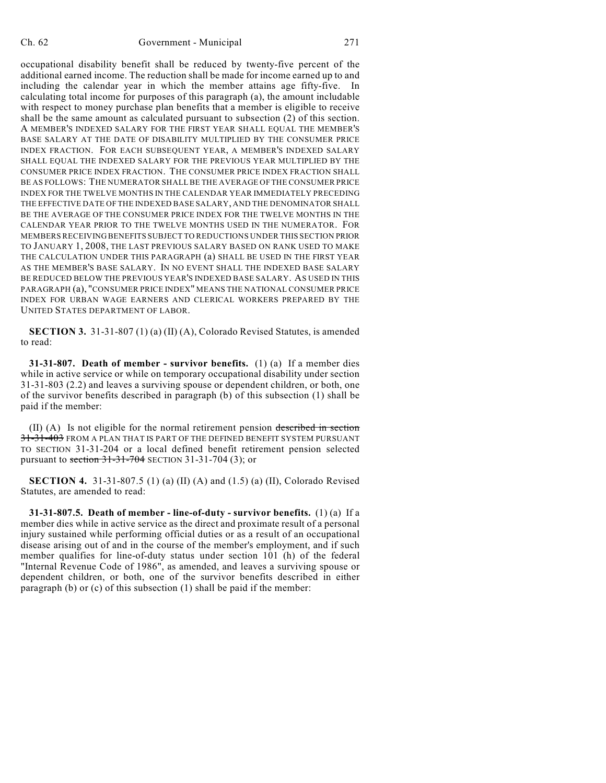occupational disability benefit shall be reduced by twenty-five percent of the additional earned income. The reduction shall be made for income earned up to and including the calendar year in which the member attains age fifty-five. In calculating total income for purposes of this paragraph (a), the amount includable with respect to money purchase plan benefits that a member is eligible to receive shall be the same amount as calculated pursuant to subsection (2) of this section. A MEMBER'S INDEXED SALARY FOR THE FIRST YEAR SHALL EQUAL THE MEMBER'S BASE SALARY AT THE DATE OF DISABILITY MULTIPLIED BY THE CONSUMER PRICE INDEX FRACTION. FOR EACH SUBSEQUENT YEAR, A MEMBER'S INDEXED SALARY SHALL EQUAL THE INDEXED SALARY FOR THE PREVIOUS YEAR MULTIPLIED BY THE CONSUMER PRICE INDEX FRACTION. THE CONSUMER PRICE INDEX FRACTION SHALL BE AS FOLLOWS: THE NUMERATOR SHALL BE THE AVERAGE OF THE CONSUMER PRICE INDEX FOR THE TWELVE MONTHS IN THE CALENDAR YEAR IMMEDIATELY PRECEDING THE EFFECTIVE DATE OF THE INDEXED BASE SALARY, AND THE DENOMINATOR SHALL BE THE AVERAGE OF THE CONSUMER PRICE INDEX FOR THE TWELVE MONTHS IN THE CALENDAR YEAR PRIOR TO THE TWELVE MONTHS USED IN THE NUMERATOR. FOR MEMBERS RECEIVING BENEFITS SUBJECT TO REDUCTIONS UNDER THIS SECTION PRIOR TO JANUARY 1, 2008, THE LAST PREVIOUS SALARY BASED ON RANK USED TO MAKE THE CALCULATION UNDER THIS PARAGRAPH (a) SHALL BE USED IN THE FIRST YEAR AS THE MEMBER'S BASE SALARY. IN NO EVENT SHALL THE INDEXED BASE SALARY BE REDUCED BELOW THE PREVIOUS YEAR'S INDEXED BASE SALARY. AS USED IN THIS PARAGRAPH (a), "CONSUMER PRICE INDEX" MEANS THE NATIONAL CONSUMER PRICE INDEX FOR URBAN WAGE EARNERS AND CLERICAL WORKERS PREPARED BY THE UNITED STATES DEPARTMENT OF LABOR.

**SECTION 3.** 31-31-807 (1) (a) (II) (A), Colorado Revised Statutes, is amended to read:

**31-31-807. Death of member - survivor benefits.** (1) (a) If a member dies while in active service or while on temporary occupational disability under section 31-31-803 (2.2) and leaves a surviving spouse or dependent children, or both, one of the survivor benefits described in paragraph (b) of this subsection (1) shall be paid if the member:

(II) (A) Is not eligible for the normal retirement pension described in section 31-31-403 FROM A PLAN THAT IS PART OF THE DEFINED BENEFIT SYSTEM PURSUANT TO SECTION 31-31-204 or a local defined benefit retirement pension selected pursuant to section  $31-31-704$  SECTION 31-31-704 (3); or

**SECTION 4.** 31-31-807.5 (1) (a) (II) (A) and (1.5) (a) (II), Colorado Revised Statutes, are amended to read:

**31-31-807.5. Death of member - line-of-duty - survivor benefits.** (1) (a) If a member dies while in active service as the direct and proximate result of a personal injury sustained while performing official duties or as a result of an occupational disease arising out of and in the course of the member's employment, and if such member qualifies for line-of-duty status under section 101 (h) of the federal "Internal Revenue Code of 1986", as amended, and leaves a surviving spouse or dependent children, or both, one of the survivor benefits described in either paragraph (b) or (c) of this subsection (1) shall be paid if the member: